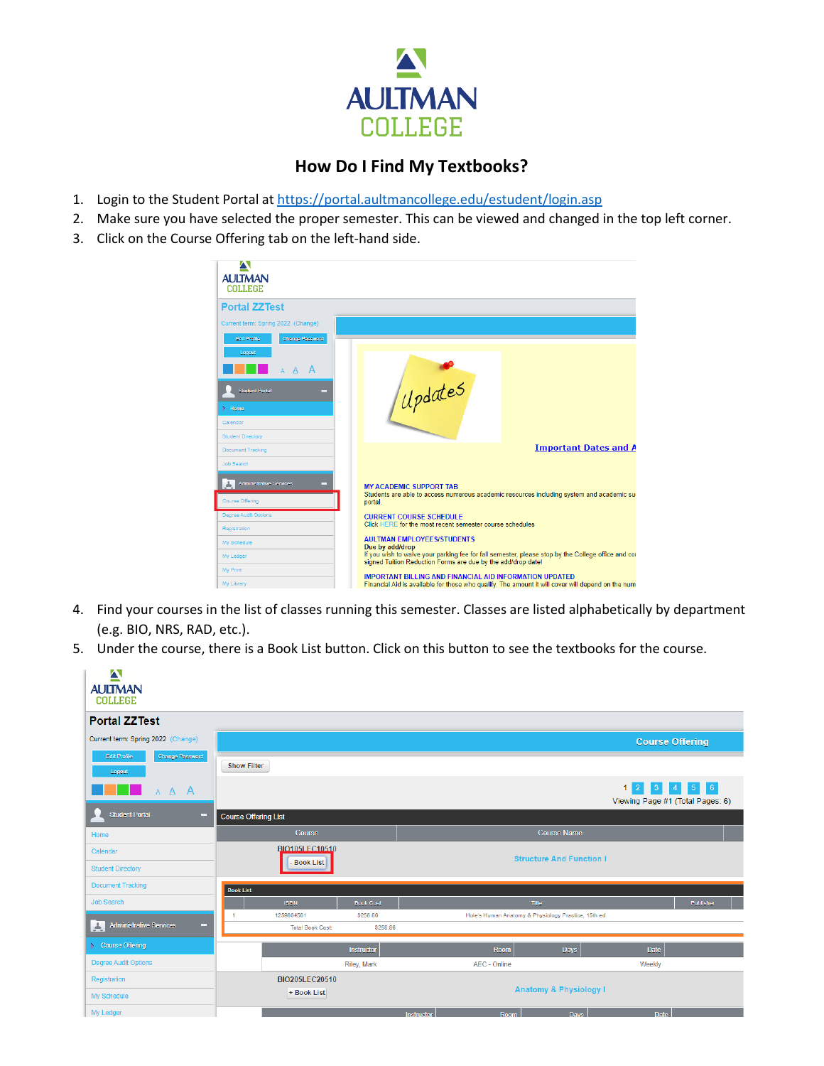

## **How Do I Find My Textbooks?**

- 1. Login to the Student Portal at<https://portal.aultmancollege.edu/estudent/login.asp>
- 2. Make sure you have selected the proper semester. This can be viewed and changed in the top left corner.
- 3. Click on the Course Offering tab on the left-hand side.

| $\blacktriangle$                          |                                                                                                                                                                     |                              |  |  |  |  |
|-------------------------------------------|---------------------------------------------------------------------------------------------------------------------------------------------------------------------|------------------------------|--|--|--|--|
| <b>AULTMAN</b><br><b>COLLEGE</b>          |                                                                                                                                                                     |                              |  |  |  |  |
| <b>Portal ZZTest</b>                      |                                                                                                                                                                     |                              |  |  |  |  |
| Current term: Spring 2022 (Change)        |                                                                                                                                                                     |                              |  |  |  |  |
| Edit Profile<br>Change Password<br>Logout |                                                                                                                                                                     |                              |  |  |  |  |
| $\overline{A}$<br>- A                     |                                                                                                                                                                     |                              |  |  |  |  |
| <b>Student Portal</b><br>−                | Updates                                                                                                                                                             |                              |  |  |  |  |
| <b>Home</b>                               |                                                                                                                                                                     |                              |  |  |  |  |
| Calendar                                  |                                                                                                                                                                     |                              |  |  |  |  |
| <b>Student Directory</b>                  |                                                                                                                                                                     |                              |  |  |  |  |
| <b>Document Tracking</b>                  |                                                                                                                                                                     | <b>Important Dates and A</b> |  |  |  |  |
| <b>Job Search</b>                         |                                                                                                                                                                     |                              |  |  |  |  |
| <b>Administrative Services</b><br>─       | <b>MY ACADEMIC SUPPORT TAB</b><br>Students are able to access numerous academic resources including system and academic su-                                         |                              |  |  |  |  |
| <b>Course Offering</b>                    | portal.                                                                                                                                                             |                              |  |  |  |  |
| Degree Audit Options                      | <b>CURRENT COURSE SCHEDULE</b>                                                                                                                                      |                              |  |  |  |  |
| Registration                              | Click HERE for the most recent semester course schedules                                                                                                            |                              |  |  |  |  |
| My Schedule                               | <b>AULTMAN EMPLOYEES/STUDENTS</b><br>Due by add/drop                                                                                                                |                              |  |  |  |  |
| My Ledger                                 | If you wish to waive your parking fee for fall semester, please stop by the College office and cor<br>signed Tuition Reduction Forms are due by the add/drop date!  |                              |  |  |  |  |
| My Print                                  |                                                                                                                                                                     |                              |  |  |  |  |
| My Library                                | <b>IMPORTANT BILLING AND FINANCIAL AID INFORMATION UPDATED</b><br>Financial Aid is available for those who qualify. The amount it will cover will depend on the num |                              |  |  |  |  |

- 4. Find your courses in the list of classes running this semester. Classes are listed alphabetically by department (e.g. BIO, NRS, RAD, etc.).
- 5. Under the course, there is a Book List button. Click on this button to see the textbooks for the course.

| $\blacktriangle$<br><b>AULTMAN</b><br><b>COLLEGE</b> |                             |                         |                    |            |                                                      |                                   |                                                             |                  |
|------------------------------------------------------|-----------------------------|-------------------------|--------------------|------------|------------------------------------------------------|-----------------------------------|-------------------------------------------------------------|------------------|
| <b>Portal ZZTest</b>                                 |                             |                         |                    |            |                                                      |                                   |                                                             |                  |
| Current term: Spring 2022 (Change)                   |                             |                         |                    |            |                                                      |                                   | <b>Course Offering</b>                                      |                  |
| Edit Profile<br>Change Password<br>Logout            | <b>Show Filter</b>          |                         |                    |            |                                                      |                                   |                                                             |                  |
| A A A                                                |                             |                         |                    |            |                                                      |                                   | $1 \ 2 \ 3 \ 4 \ 5 \ 6$<br>Viewing Page #1 (Total Pages: 6) |                  |
| <b>Student Portal</b><br>▭                           | <b>Course Offering List</b> |                         |                    |            |                                                      |                                   |                                                             |                  |
| Home                                                 |                             | Course                  |                    |            |                                                      | <b>Course Name</b>                |                                                             |                  |
| Calendar                                             |                             | BIO105LEC10510          |                    |            |                                                      | <b>Structure And Function I</b>   |                                                             |                  |
| <b>Student Directory</b>                             |                             | <b>Book List</b>        |                    |            |                                                      |                                   |                                                             |                  |
| <b>Document Tracking</b>                             | <b>Book List</b>            |                         |                    |            |                                                      |                                   |                                                             |                  |
| <b>Job Search</b>                                    |                             | <b>ISBN</b>             | <b>Book Cost</b>   |            | Title                                                |                                   |                                                             | <b>Publisher</b> |
| <b>Administrative Services</b><br>A<br>▭             | 1.                          | 1259864561              | \$258.86           |            | Hole's Human Anatomy & Physiology Practice, 15th ed. |                                   |                                                             |                  |
|                                                      |                             | <b>Total Book Cost:</b> | \$258.86           |            |                                                      |                                   |                                                             |                  |
| $\triangleright$ Course Offering                     |                             |                         | Instructor         |            | Room                                                 | Days                              | Date                                                        |                  |
| Degree Audit Options                                 |                             |                         | <b>Riley, Mark</b> |            | AEC - Online                                         |                                   | Weekly                                                      |                  |
| Registration                                         |                             | BIO205LEC20510          |                    |            |                                                      |                                   |                                                             |                  |
| My Schedule                                          |                             | + Book List             |                    |            |                                                      | <b>Anatomy &amp; Physiology I</b> |                                                             |                  |
| My Ledger                                            |                             |                         |                    | Instructor | Room                                                 | <b>Davs</b>                       | Date                                                        |                  |